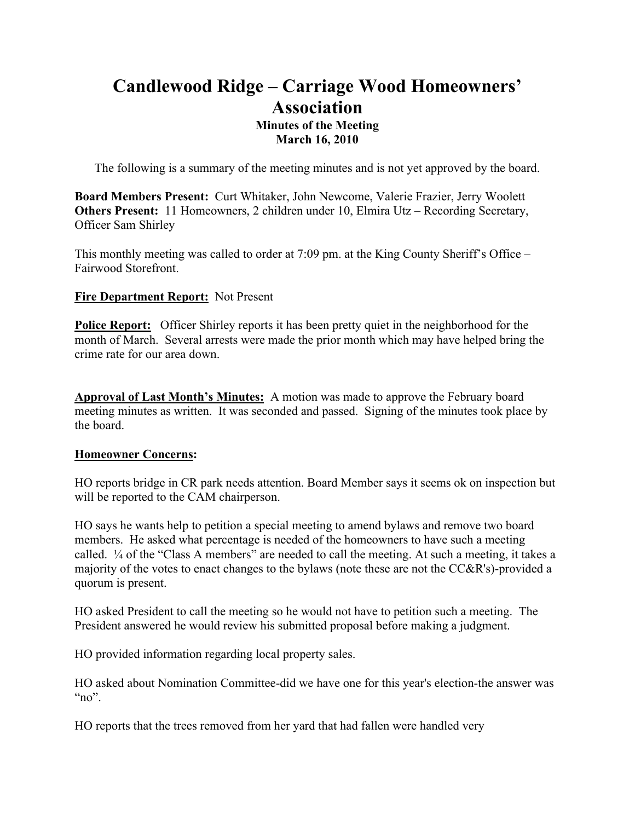# **Candlewood Ridge – Carriage Wood Homeowners' Association Minutes of the Meeting March 16, 2010**

The following is a summary of the meeting minutes and is not yet approved by the board.

**Board Members Present:** Curt Whitaker, John Newcome, Valerie Frazier, Jerry Woolett **Others Present:** 11 Homeowners, 2 children under 10, Elmira Utz – Recording Secretary, Officer Sam Shirley

This monthly meeting was called to order at 7:09 pm. at the King County Sheriff's Office – Fairwood Storefront.

#### **Fire Department Report:** Not Present

**Police Report:** Officer Shirley reports it has been pretty quiet in the neighborhood for the month of March. Several arrests were made the prior month which may have helped bring the crime rate for our area down.

**Approval of Last Month's Minutes:** A motion was made to approve the February board meeting minutes as written. It was seconded and passed. Signing of the minutes took place by the board.

#### **Homeowner Concerns:**

HO reports bridge in CR park needs attention. Board Member says it seems ok on inspection but will be reported to the CAM chairperson.

HO says he wants help to petition a special meeting to amend bylaws and remove two board members. He asked what percentage is needed of the homeowners to have such a meeting called. ¼ of the "Class A members" are needed to call the meeting. At such a meeting, it takes a majority of the votes to enact changes to the bylaws (note these are not the CC&R's)-provided a quorum is present.

HO asked President to call the meeting so he would not have to petition such a meeting. The President answered he would review his submitted proposal before making a judgment.

HO provided information regarding local property sales.

HO asked about Nomination Committee-did we have one for this year's election-the answer was " $no$ ".

HO reports that the trees removed from her yard that had fallen were handled very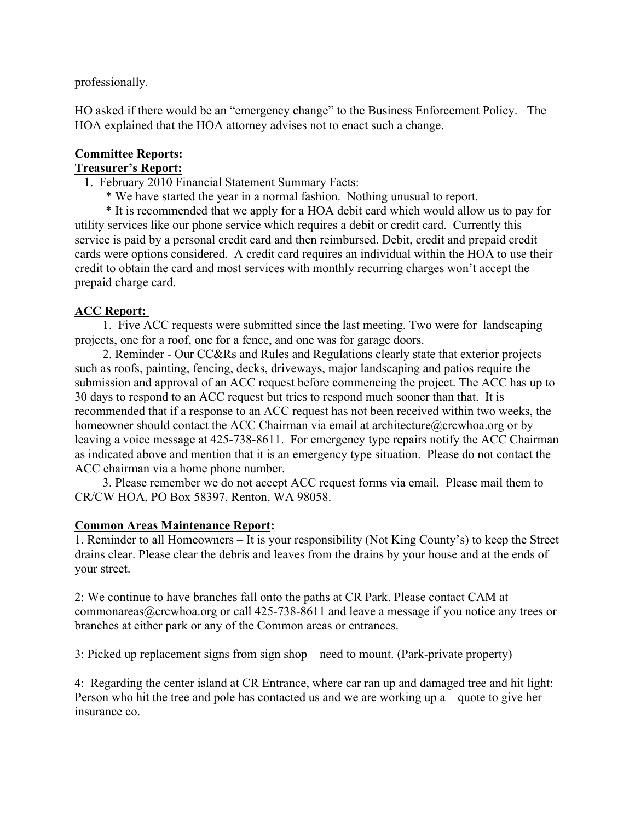professionally.

HO asked if there would be an "emergency change" to the Business Enforcement Policy. The HOA explained that the HOA attorney advises not to enact such a change.

#### **Committee Reports: Treasurer's Report:**

# 1. February 2010 Financial Statement Summary Facts:

\* We have started the year in a normal fashion. Nothing unusual to report.

 \* It is recommended that we apply for a HOA debit card which would allow us to pay for utility services like our phone service which requires a debit or credit card. Currently this service is paid by a personal credit card and then reimbursed. Debit, credit and prepaid credit cards were options considered. A credit card requires an individual within the HOA to use their credit to obtain the card and most services with monthly recurring charges won't accept the prepaid charge card.

## **ACC Report:**

 1. Five ACC requests were submitted since the last meeting. Two were for landscaping projects, one for a roof, one for a fence, and one was for garage doors.

 2. Reminder - Our CC&Rs and Rules and Regulations clearly state that exterior projects such as roofs, painting, fencing, decks, driveways, major landscaping and patios require the submission and approval of an ACC request before commencing the project. The ACC has up to 30 days to respond to an ACC request but tries to respond much sooner than that. It is recommended that if a response to an ACC request has not been received within two weeks, the homeowner should contact the ACC Chairman via email at architecture@crcwhoa.org or by leaving a voice message at 425-738-8611. For emergency type repairs notify the ACC Chairman as indicated above and mention that it is an emergency type situation. Please do not contact the ACC chairman via a home phone number.

 3. Please remember we do not accept ACC request forms via email. Please mail them to CR/CW HOA, PO Box 58397, Renton, WA 98058.

## **Common Areas Maintenance Report:**

1. Reminder to all Homeowners – It is your responsibility (Not King County's) to keep the Street drains clear. Please clear the debris and leaves from the drains by your house and at the ends of your street.

2: We continue to have branches fall onto the paths at CR Park. Please contact CAM at commonareas@crcwhoa.org or call 425-738-8611 and leave a message if you notice any trees or branches at either park or any of the Common areas or entrances.

3: Picked up replacement signs from sign shop – need to mount. (Park-private property)

4: Regarding the center island at CR Entrance, where car ran up and damaged tree and hit light: Person who hit the tree and pole has contacted us and we are working up a quote to give her insurance co.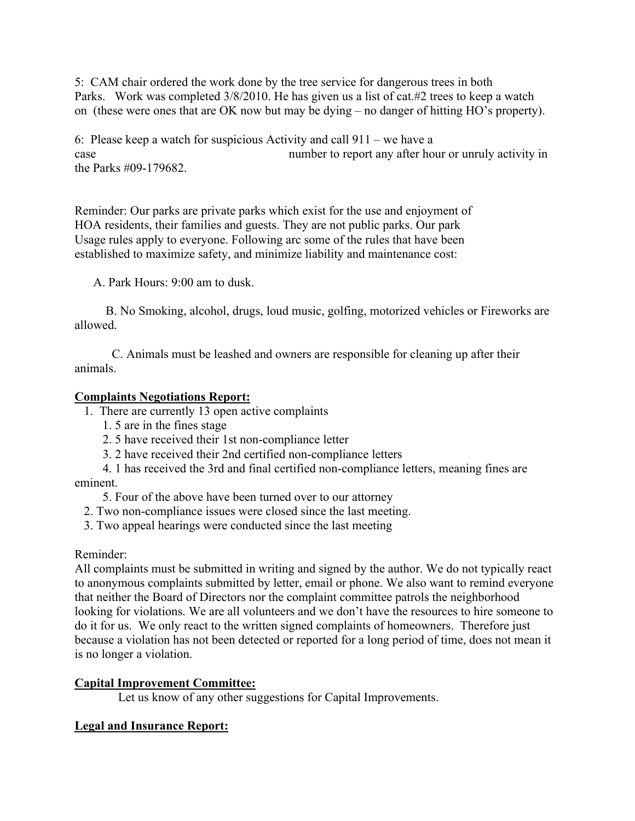5: CAM chair ordered the work done by the tree service for dangerous trees in both Parks. Work was completed  $3/8/2010$ . He has given us a list of cat.#2 trees to keep a watch on (these were ones that are OK now but may be dying – no danger of hitting HO's property).

6: Please keep a watch for suspicious Activity and call 911 – we have a case number to report any after hour or unruly activity in the Parks #09-179682.

Reminder: Our parks are private parks which exist for the use and enjoyment of HOA residents, their families and guests. They are not public parks. Our park Usage rules apply to everyone. Following arc some of the rules that have been established to maximize safety, and minimize liability and maintenance cost:

A. Park Hours: 9:00 am to dusk.

 B. No Smoking, alcohol, drugs, loud music, golfing, motorized vehicles or Fireworks are allowed.

 C. Animals must be leashed and owners are responsible for cleaning up after their animals.

#### **Complaints Negotiations Report:**

- 1. There are currently 13 open active complaints
	- 1. 5 are in the fines stage
	- 2. 5 have received their 1st non-compliance letter
	- 3. 2 have received their 2nd certified non-compliance letters
- 4. 1 has received the 3rd and final certified non-compliance letters, meaning fines are eminent.
	- 5. Four of the above have been turned over to our attorney
	- 2. Two non-compliance issues were closed since the last meeting.
	- 3. Two appeal hearings were conducted since the last meeting

#### Reminder:

All complaints must be submitted in writing and signed by the author. We do not typically react to anonymous complaints submitted by letter, email or phone. We also want to remind everyone that neither the Board of Directors nor the complaint committee patrols the neighborhood looking for violations. We are all volunteers and we don't have the resources to hire someone to do it for us. We only react to the written signed complaints of homeowners. Therefore just because a violation has not been detected or reported for a long period of time, does not mean it is no longer a violation.

## **Capital Improvement Committee:**

Let us know of any other suggestions for Capital Improvements.

## **Legal and Insurance Report:**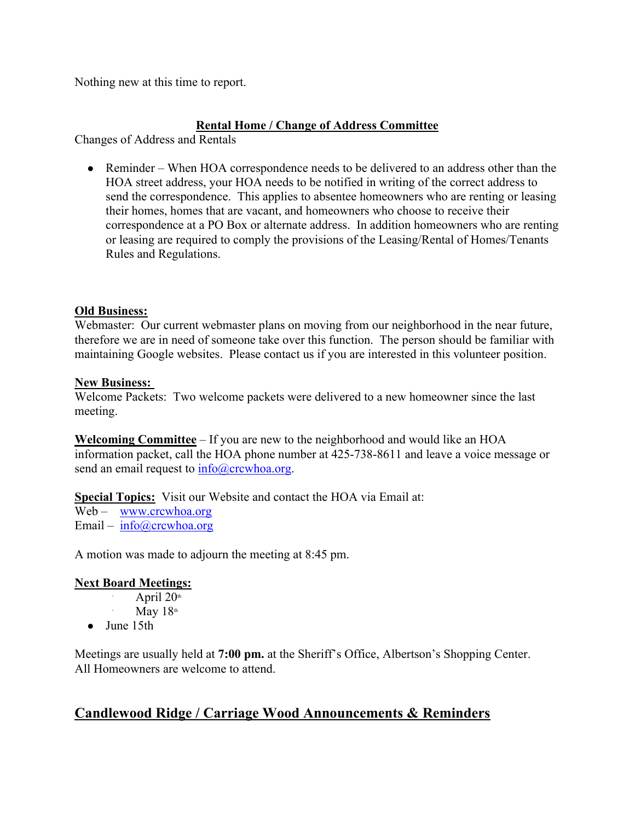Nothing new at this time to report.

## **Rental Home / Change of Address Committee**

Changes of Address and Rentals

• Reminder – When HOA correspondence needs to be delivered to an address other than the HOA street address, your HOA needs to be notified in writing of the correct address to send the correspondence. This applies to absentee homeowners who are renting or leasing their homes, homes that are vacant, and homeowners who choose to receive their correspondence at a PO Box or alternate address. In addition homeowners who are renting or leasing are required to comply the provisions of the Leasing/Rental of Homes/Tenants Rules and Regulations.

## **Old Business:**

Webmaster: Our current webmaster plans on moving from our neighborhood in the near future, therefore we are in need of someone take over this function. The person should be familiar with maintaining Google websites. Please contact us if you are interested in this volunteer position.

#### **New Business:**

Welcome Packets: Two welcome packets were delivered to a new homeowner since the last meeting.

**Welcoming Committee** – If you are new to the neighborhood and would like an HOA information packet, call the HOA phone number at 425-738-8611 and leave a voice message or send an email request to  $info@crcwhoa.org$ .

**Special Topics:** Visit our Website and contact the HOA via Email at:

Web – www.crcwhoa.org Email – info@crcwhoa.org

A motion was made to adjourn the meeting at 8:45 pm.

#### **Next Board Meetings:**

- April  $20<sup>th</sup>$
- May  $18<sup>th</sup>$
- June 15th

∙

∙

Meetings are usually held at **7:00 pm.** at the Sheriff's Office, Albertson's Shopping Center. All Homeowners are welcome to attend.

## **Candlewood Ridge / Carriage Wood Announcements & Reminders**